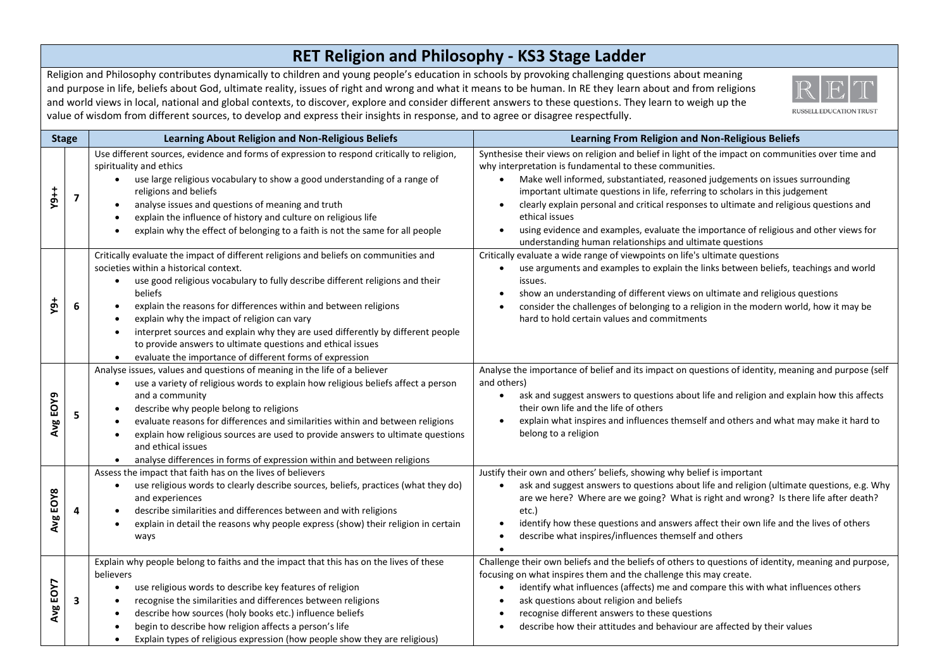## **RET Religion and Philosophy - KS3 Stage Ladder**

Religion and Philosophy contributes dynamically to children and young people's education in schools by provoking challenging questions about meaning and purpose in life, beliefs about God, ultimate reality, issues of right and wrong and what it means to be human. In RE they learn about and from religions and world views in local, national and global contexts, to discover, explore and consider different answers to these questions. They learn to weigh up the value of wisdom from different sources, to develop and express their insights in response, and to agree or disagree respectfully.



| <b>Stage</b> |   | <b>Learning About Religion and Non-Religious Beliefs</b>                                                                                                                                                                                                                                                                                                                                                                                                                                                                                                                              | <b>Learning From Religion and Non-Religious Beliefs</b>                                                                                                                                                                                                                                                                                                                                                                                                                                                                                                                                                      |
|--------------|---|---------------------------------------------------------------------------------------------------------------------------------------------------------------------------------------------------------------------------------------------------------------------------------------------------------------------------------------------------------------------------------------------------------------------------------------------------------------------------------------------------------------------------------------------------------------------------------------|--------------------------------------------------------------------------------------------------------------------------------------------------------------------------------------------------------------------------------------------------------------------------------------------------------------------------------------------------------------------------------------------------------------------------------------------------------------------------------------------------------------------------------------------------------------------------------------------------------------|
| $Y9++$       | 7 | Use different sources, evidence and forms of expression to respond critically to religion,<br>spirituality and ethics<br>use large religious vocabulary to show a good understanding of a range of<br>$\bullet$<br>religions and beliefs<br>analyse issues and questions of meaning and truth<br>explain the influence of history and culture on religious life<br>explain why the effect of belonging to a faith is not the same for all people                                                                                                                                      | Synthesise their views on religion and belief in light of the impact on communities over time and<br>why interpretation is fundamental to these communities.<br>Make well informed, substantiated, reasoned judgements on issues surrounding<br>important ultimate questions in life, referring to scholars in this judgement<br>clearly explain personal and critical responses to ultimate and religious questions and<br>ethical issues<br>using evidence and examples, evaluate the importance of religious and other views for<br>$\bullet$<br>understanding human relationships and ultimate questions |
| Ψĝ           | 6 | Critically evaluate the impact of different religions and beliefs on communities and<br>societies within a historical context.<br>use good religious vocabulary to fully describe different religions and their<br>$\bullet$<br>beliefs<br>explain the reasons for differences within and between religions<br>explain why the impact of religion can vary<br>interpret sources and explain why they are used differently by different people<br>to provide answers to ultimate questions and ethical issues<br>evaluate the importance of different forms of expression<br>$\bullet$ | Critically evaluate a wide range of viewpoints on life's ultimate questions<br>use arguments and examples to explain the links between beliefs, teachings and world<br>$\bullet$<br>issues.<br>show an understanding of different views on ultimate and religious questions<br>consider the challenges of belonging to a religion in the modern world, how it may be<br>hard to hold certain values and commitments                                                                                                                                                                                          |
| Avg EOY9     |   | Analyse issues, values and questions of meaning in the life of a believer<br>use a variety of religious words to explain how religious beliefs affect a person<br>and a community<br>describe why people belong to religions<br>evaluate reasons for differences and similarities within and between religions<br>explain how religious sources are used to provide answers to ultimate questions<br>and ethical issues<br>analyse differences in forms of expression within and between religions                                                                                    | Analyse the importance of belief and its impact on questions of identity, meaning and purpose (self<br>and others)<br>ask and suggest answers to questions about life and religion and explain how this affects<br>$\bullet$<br>their own life and the life of others<br>explain what inspires and influences themself and others and what may make it hard to<br>belong to a religion                                                                                                                                                                                                                       |
| Avg EOY8     |   | Assess the impact that faith has on the lives of believers<br>use religious words to clearly describe sources, beliefs, practices (what they do)<br>$\bullet$<br>and experiences<br>describe similarities and differences between and with religions<br>explain in detail the reasons why people express (show) their religion in certain<br>ways                                                                                                                                                                                                                                     | Justify their own and others' beliefs, showing why belief is important<br>ask and suggest answers to questions about life and religion (ultimate questions, e.g. Why<br>are we here? Where are we going? What is right and wrong? Is there life after death?<br>etc.)<br>identify how these questions and answers affect their own life and the lives of others<br>describe what inspires/influences themself and others                                                                                                                                                                                     |
| Avg EOY7     | 3 | Explain why people belong to faiths and the impact that this has on the lives of these<br>believers<br>use religious words to describe key features of religion<br>$\bullet$<br>recognise the similarities and differences between religions<br>describe how sources (holy books etc.) influence beliefs<br>begin to describe how religion affects a person's life<br>Explain types of religious expression (how people show they are religious)                                                                                                                                      | Challenge their own beliefs and the beliefs of others to questions of identity, meaning and purpose,<br>focusing on what inspires them and the challenge this may create.<br>identify what influences (affects) me and compare this with what influences others<br>ask questions about religion and beliefs<br>recognise different answers to these questions<br>describe how their attitudes and behaviour are affected by their values                                                                                                                                                                     |